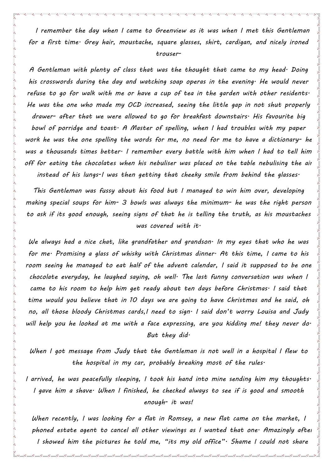*I remember the day when I came to Greenview as it was when I met this Gentleman for a first time. Grey hair, moustache, square glasses, shirt, cardigan, and nicely ironed trouser-*

*A Gentleman with plenty of class that was the thought that came to my head. Doing his crosswords during the day and watching soap operas in the evening. He would never refuse to go for walk with me or have a cup of tea in the garden with other residents. He was the one who made my OCD increased, seeing the little gap in not shut properly drawer- after that we were allowed to go for breakfast downstairs. His favourite big bowl of porridge and toast. A Master of spelling, when I had troubles with my paper work he was the one spelling the words for me, no need for me to have a dictionary- he was a thousands times better. I remember every battle with him when I had to tell him off for eating the chocolates when his nebuliser was placed on the table nebulising the air instead of his lungs-I was then getting that cheeky smile from behind the glasses.*

*This Gentleman was fussy about his food but I managed to win him over, developing making special soups for him- 3 bowls was always the minimum- he was the right person to ask if its good enough, seeing signs of that he is telling the truth, as his moustaches was covered with it.*

*We always had a nice chat, like grandfather and grandson. In my eyes that who he was for me. Promising a glass of whisky with Christmas dinner. At this time, I came to his room seeing he managed to eat half of the advent calendar, I said it supposed to be one chocolate everyday, he laughed saying, oh well. The last funny conversation was when I came to his room to help him get ready about ten days before Christmas. I said that time would you believe that in 10 days we are going to have Christmas and he said, oh no, all those bloody Christmas cards,I need to sign. I said don't worry Louisa and Judy will help you he looked at me with a face expressing, are you kidding me! they never do. But they did.*

*When I got message from Judy that the Gentleman is not well in a hospital I flew to the hospital in my car, probably breaking most of the rules.*

*I arrived, he was peacefully sleeping, I took his hand into mine sending him my thoughts. I gave him a shave. When I finished, he checked always to see if is good and smooth enough- it was!*

*When recently, I was looking for a flat in Romsey, a new flat came on the market, I phoned estate agent to cancel all other viewings as I wanted that one. Amazingly after I showed him the pictures he told me, "its my old office". Shame I could not share* 

*his face with you at that time.*